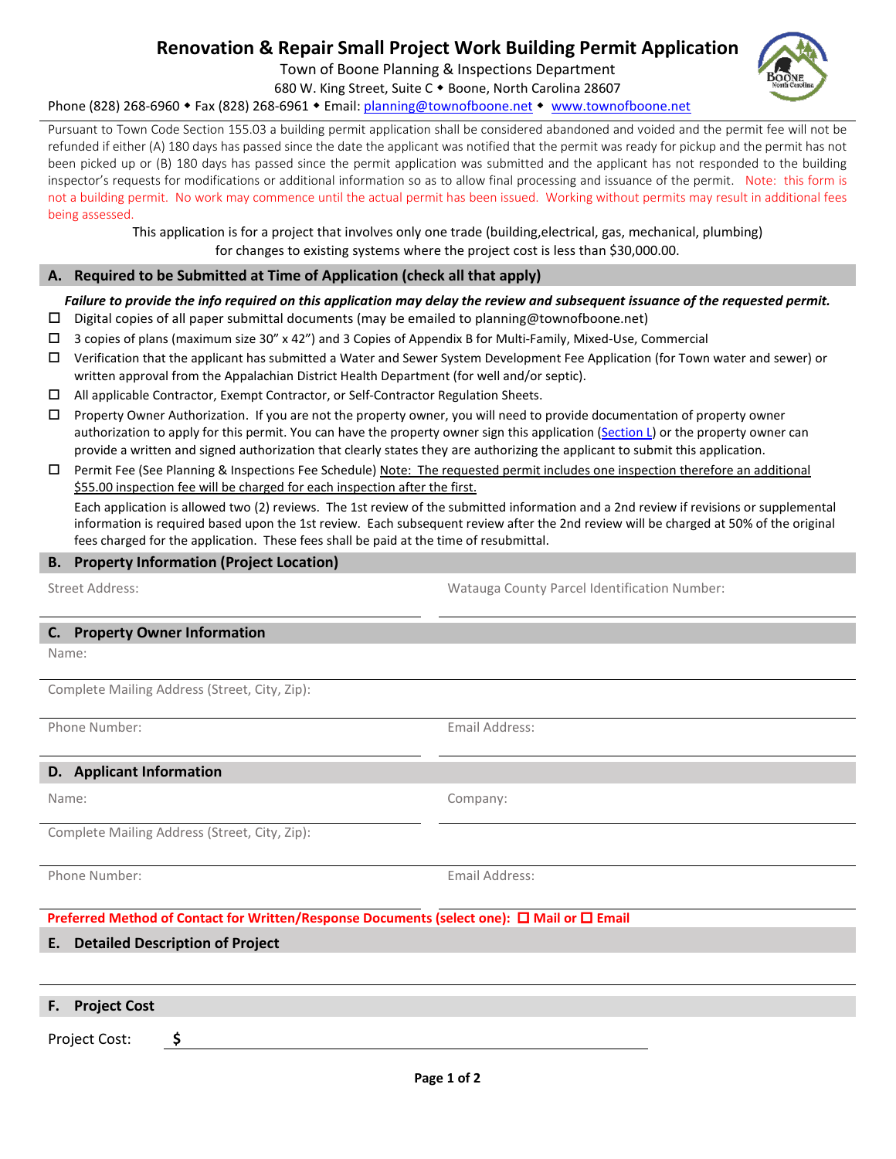# **Renovation & Repair Small Project Work Building Permit Application**

Town of Boone Planning & Inspections Department

680 W. King Street, Suite C . Boone, North Carolina 28607 Phone (828) 268-6960 • Fax (828) 268-6961 • Email: [planning@townofboone.net](mailto:planning@townofboone.net) • [www.townofboone.net](http://www.townofboone.net/)

Pursuant to Town Code Section 155.03 a building permit application shall be considered abandoned and voided and the permit fee will not be refunded if either (A) 180 days has passed since the date the applicant was notified that the permit was ready for pickup and the permit has not been picked up or (B) 180 days has passed since the permit application was submitted and the applicant has not responded to the building inspector's requests for modifications or additional information so as to allow final processing and issuance of the permit. Note: this form is not a building permit. No work may commence until the actual permit has been issued. Working without permits may result in additional fees being assessed.

> This application is for a project that involves only one trade (building,electrical, gas, mechanical, plumbing) for changes to existing systems where the project cost is less than \$30,000.00.

## **A. Required to be Submitted at Time of Application (check all that apply)**

## *Failure to provide the info required on this application may delay the review and subsequent issuance of the requested permit.*

- $\square$  Digital copies of all paper submittal documents (may be emailed to planning@townofboone.net)
- 3 copies of plans (maximum size 30" x 42") and 3 Copies of Appendix B for Multi-Family, Mixed-Use, Commercial
- $\Box$  Verification that the applicant has submitted a Water and Sewer System Development Fee Application (for Town water and sewer) or written approval from the Appalachian District Health Department (for well and/or septic).
- All applicable Contractor, Exempt Contractor, or Self-Contractor Regulation Sheets.
- $\Box$  Property Owner Authorization. If you are not the property owner, you will need to provide documentation of property owner authorization to apply for this permit. You can have the property owner sign this application [\(Section L\)](#page-1-0) or the property owner can provide a written and signed authorization that clearly states they are authorizing the applicant to submit this application.
- Permit Fee (See Planning & Inspections Fee Schedule) Note: The requested permit includes one inspection therefore an additional \$55.00 inspection fee will be charged for each inspection after the first.

Each application is allowed two (2) reviews. The 1st review of the submitted information and a 2nd review if revisions or supplemental information is required based upon the 1st review. Each subsequent review after the 2nd review will be charged at 50% of the original fees charged for the application. These fees shall be paid at the time of resubmittal.

### **B. Property Information (Project Location)**

Street Address: Watauga County Parcel Identification Number:

#### **C. Property Owner Information**

Name:

Complete Mailing Address (Street, City, Zip):

Phone Number: The Contract of the Contract of the Contract of the Email Address:

### **D. Applicant Information**

Name: Company:

Complete Mailing Address (Street, City, Zip):

Phone Number: The Contract of the Contract of the Email Address:

**Preferred Method of Contact for Written/Response Documents (select one): □ Mail or □ Email** 

## <span id="page-0-0"></span>**E. Detailed Description of Project**

| F. Project Cost |  |
|-----------------|--|
| Project Cost:   |  |